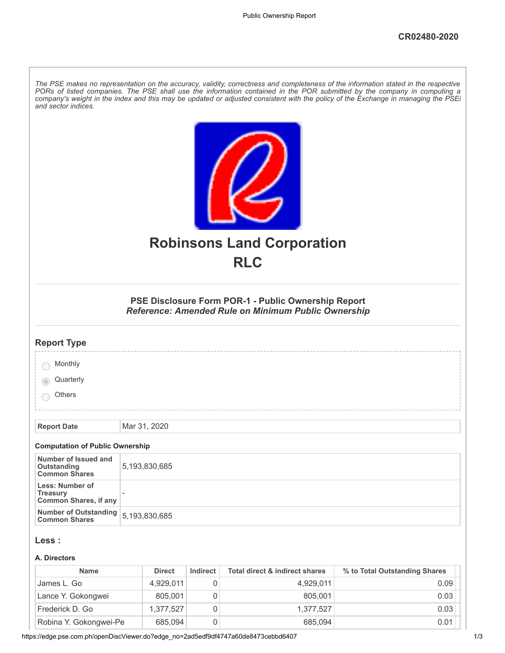| and sector indices.                                                | The PSE makes no representation on the accuracy, validity, correctness and completeness of the information stated in the respective<br>PORs of listed companies. The PSE shall use the information contained in the POR submitted by the company in computing a<br>company's weight in the index and this may be updated or adjusted consistent with the policy of the Exchange in managing the PSEi |               |          |                                                                                                                   |                               |  |
|--------------------------------------------------------------------|------------------------------------------------------------------------------------------------------------------------------------------------------------------------------------------------------------------------------------------------------------------------------------------------------------------------------------------------------------------------------------------------------|---------------|----------|-------------------------------------------------------------------------------------------------------------------|-------------------------------|--|
| <b>Robinsons Land Corporation</b><br><b>RLC</b>                    |                                                                                                                                                                                                                                                                                                                                                                                                      |               |          |                                                                                                                   |                               |  |
|                                                                    |                                                                                                                                                                                                                                                                                                                                                                                                      |               |          |                                                                                                                   |                               |  |
|                                                                    |                                                                                                                                                                                                                                                                                                                                                                                                      |               |          | PSE Disclosure Form POR-1 - Public Ownership Report<br><b>Reference: Amended Rule on Minimum Public Ownership</b> |                               |  |
| <b>Report Type</b>                                                 |                                                                                                                                                                                                                                                                                                                                                                                                      |               |          |                                                                                                                   |                               |  |
| Monthly                                                            |                                                                                                                                                                                                                                                                                                                                                                                                      |               |          |                                                                                                                   |                               |  |
| Quarterly                                                          |                                                                                                                                                                                                                                                                                                                                                                                                      |               |          |                                                                                                                   |                               |  |
| Others                                                             |                                                                                                                                                                                                                                                                                                                                                                                                      |               |          |                                                                                                                   |                               |  |
| <b>Report Date</b>                                                 |                                                                                                                                                                                                                                                                                                                                                                                                      | Mar 31, 2020  |          |                                                                                                                   |                               |  |
| <b>Computation of Public Ownership</b>                             |                                                                                                                                                                                                                                                                                                                                                                                                      |               |          |                                                                                                                   |                               |  |
| Number of Issued and<br>Outstanding<br><b>Common Shares</b>        | 5,193,830,685                                                                                                                                                                                                                                                                                                                                                                                        |               |          |                                                                                                                   |                               |  |
| Less: Number of<br><b>Treasury</b><br><b>Common Shares, if any</b> |                                                                                                                                                                                                                                                                                                                                                                                                      |               |          |                                                                                                                   |                               |  |
| <b>Number of Outstanding</b><br><b>Common Shares</b>               | 5,193,830,685                                                                                                                                                                                                                                                                                                                                                                                        |               |          |                                                                                                                   |                               |  |
| Less :                                                             |                                                                                                                                                                                                                                                                                                                                                                                                      |               |          |                                                                                                                   |                               |  |
| A. Directors<br><b>Name</b>                                        |                                                                                                                                                                                                                                                                                                                                                                                                      | <b>Direct</b> | Indirect | <b>Total direct &amp; indirect shares</b>                                                                         | % to Total Outstanding Shares |  |
|                                                                    |                                                                                                                                                                                                                                                                                                                                                                                                      |               |          |                                                                                                                   |                               |  |

| James L. Go            | 4.929.011 | 0 | 4.929.011 | 0.09 |
|------------------------|-----------|---|-----------|------|
| Lance Y. Gokongwei     | 805.001   | 0 | 805.001   | 0.03 |
| Frederick D. Go        | 1.377.527 | 0 | 1.377.527 | 0.03 |
| Robina Y. Gokongwei-Pe | 685,094   | 0 | 685,094   | 0.01 |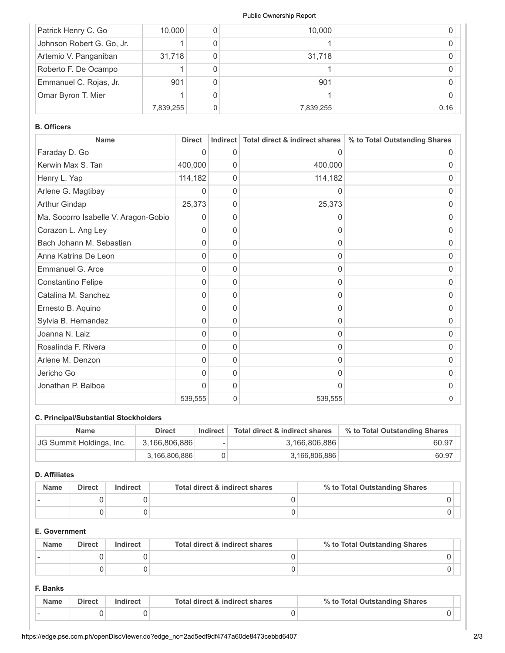#### Public Ownership Report

| Patrick Henry C. Go       | 10,000    | 10,000    |      |
|---------------------------|-----------|-----------|------|
| Johnson Robert G. Go, Jr. |           |           |      |
| Artemio V. Panganiban     | 31,718    | 31,718    |      |
| Roberto F. De Ocampo      |           |           |      |
| Emmanuel C. Rojas, Jr.    | 901       | 901       |      |
| Omar Byron T. Mier        |           |           |      |
|                           | 7,839,255 | 7,839,255 | 0.16 |

## **B. Officers**

| <b>Name</b>                          | <b>Direct</b> | Indirect | Total direct & indirect shares | % to Total Outstanding Shares |
|--------------------------------------|---------------|----------|--------------------------------|-------------------------------|
| Faraday D. Go                        | $\Omega$      | 0        | 0                              | O                             |
| Kerwin Max S. Tan                    | 400,000       | 0        | 400,000                        | 0                             |
| Henry L. Yap                         | 114,182       | 0        | 114,182                        | 0                             |
| Arlene G. Magtibay                   | 0             | 0        | 0                              | 0                             |
| <b>Arthur Gindap</b>                 | 25,373        | 0        | 25,373                         | 0                             |
| Ma. Socorro Isabelle V. Aragon-Gobio | $\Omega$      | 0        | $\Omega$                       | 0                             |
| Corazon L. Ang Ley                   | 0             | 0        | $\Omega$                       | 0                             |
| Bach Johann M. Sebastian             | 0             | 0        | 0                              | 0                             |
| Anna Katrina De Leon                 | 0             | 0        | 0                              | 0                             |
| Emmanuel G. Arce                     | $\Omega$      | 0        | 0                              | O                             |
| Constantino Felipe                   | $\Omega$      | 0        | $\Omega$                       | 0                             |
| Catalina M. Sanchez                  | 0             | 0        | 0                              | 0                             |
| Ernesto B. Aquino                    | 0             | 0        | 0                              | 0                             |
| Sylvia B. Hernandez                  | 0             | 0        | 0                              | 0                             |
| Joanna N. Laiz                       | O             | 0        | O                              | O                             |
| Rosalinda F. Rivera                  | 0             | 0        | 0                              | 0                             |
| Arlene M. Denzon                     | $\Omega$      | 0        | 0                              | 0                             |
| Jericho Go                           | 0             | 0        | 0                              | 0                             |
| Jonathan P. Balboa                   | $\Omega$      | 0        | $\Omega$                       | 0                             |
|                                      | 539,555       | 0        | 539,555                        | 0                             |

# **C. Principal/Substantial Stockholders**

| <b>Name</b>              | <b>Direct</b> | Indirect | Total direct & indirect shares | % to Total Outstanding Shares |
|--------------------------|---------------|----------|--------------------------------|-------------------------------|
| JG Summit Holdings, Inc. | 3,166,806,886 |          | 3,166,806,886                  | 60.97                         |
|                          | 3.166.806.886 |          | 3,166,806,886                  | 60.97                         |

## **D. Affiliates**

| <b>Name</b> | <b>Direct</b> | Indirect | Total direct & indirect shares | % to Total Outstanding Shares |
|-------------|---------------|----------|--------------------------------|-------------------------------|
|             |               |          |                                |                               |
|             |               |          |                                |                               |

## **E. Government**

| <b>Name</b> | <b>Direct</b> | Indirect | Total direct & indirect shares | % to Total Outstanding Shares |
|-------------|---------------|----------|--------------------------------|-------------------------------|
|             |               |          |                                |                               |
|             |               |          |                                |                               |

### **F. Banks**

| <b>Name</b> | <b>Direct</b> | Total direct & indirect shares | % to Total Outstanding Shares |  |
|-------------|---------------|--------------------------------|-------------------------------|--|
|             |               |                                |                               |  |